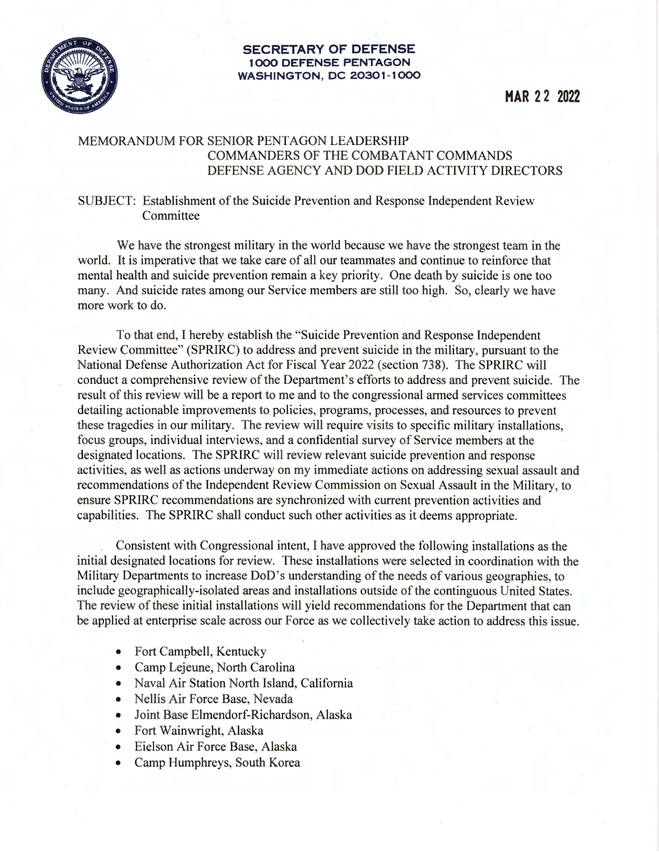

## **SECRETARY OF DEFENSE 1000 DEFENSE PENTAGON WASHINGTON , DC 20301-1000**

## MEMORANDUM FOR SENIOR PENTAGON LEADERSHIP COMMANDERS OF THE COMBATANT COMMANDS DEFENSE AGENCY AND DOD FIELD ACTIVITY DIRECTORS

## SUBJECT: Establishment of the Suicide Prevention and Response Independent Review Committee

We have the strongest military in the world because we have the strongest team in the world. It is imperative that we take care of all our teammates and continue to reinforce that mental health and suicide prevention remain a key priority. One death by suicide is one too many. And suicide rates among our Service members are still too high. So, clearly we have more work to do.

To that end, I hereby establish the "Suicide Prevention and Response Independent Review Committee" (SPRIRC) to address and prevent suicide in the military, pursuant to the National Defense Authorization Act for Fiscal Year 2022 (section 738). The SPRIRC will conduct a comprehensive review of the Department's efforts to address and prevent suicide. The result of this review will be a report to me and to the congressional armed services committees detailing actionable improvements to policies, programs, processes, and resources to prevent these tragedies in our military. The review will require visits to specific military installations, focus groups, individual interviews, and a confidential survey of Service members at the designated locations. The SPRIRC will review relevant suicide prevention and response activities, as well as actions underway on my immediate actions on addressing sexual assault and recommendations of the Independent Review Commission on Sexual Assault in the Military, to ensure SPRIRC recommendations are synchronized with current prevention activities and capabilities. The SPRIRC shall conduct such other activities as it deems appropriate.

Consistent with Congressional intent, I have approved the following installations as the initial designated locations for review. These installations were selected in coordination with the Military Departments to increase DoD's understanding of the needs of various geographies, to include geographically-isolated areas and installations outside of the continguous United States. The review of these initial installations will yield recommendations for the Department that can be applied at enterprise scale across our Force as we collectively take action to address this issue.

- Fort Campbell, Kentucky
- Camp Lejeune, North Carolina
- Naval Air Station North Island, California
- Nellis Air Force Base, Nevada
- Joint Base Elmendorf-Richardson, Alaska
- Fort Wainwright, Alaska
- Eielson Air Force Base, Alaska
- Camp Humphreys, South Korea